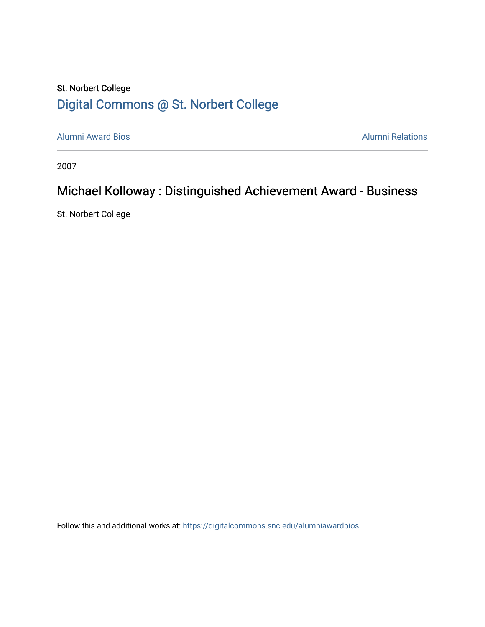## St. Norbert College [Digital Commons @ St. Norbert College](https://digitalcommons.snc.edu/)

[Alumni Award Bios](https://digitalcommons.snc.edu/alumniawardbios) **Alumni Relations** Alumni Relations

2007

## Michael Kolloway : Distinguished Achievement Award - Business

St. Norbert College

Follow this and additional works at: [https://digitalcommons.snc.edu/alumniawardbios](https://digitalcommons.snc.edu/alumniawardbios?utm_source=digitalcommons.snc.edu%2Falumniawardbios%2F39&utm_medium=PDF&utm_campaign=PDFCoverPages)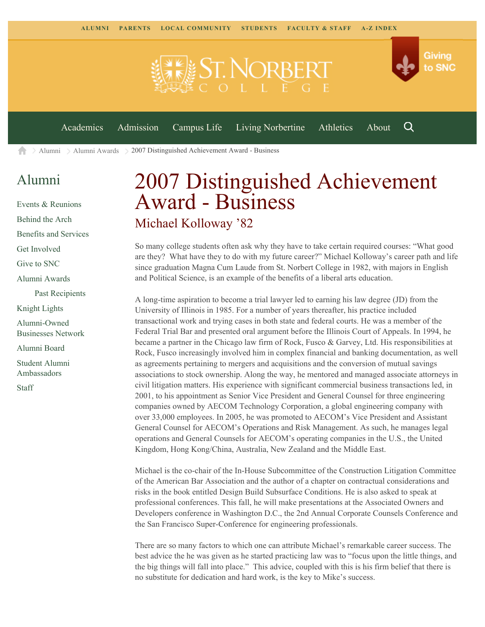

[Alumni](https://www.snc.edu/alumni/) [Alumni Awards](https://www.snc.edu/alumni/awards/) 2007 Distinguished Achievement Award - Business A

## [Alumni](https://www.snc.edu/alumni/index.html)

[Events & Reunions](https://www.snc.edu/alumni/event/index.html) [Behind the Arch](https://www.snc.edu/alumni/event/behindthearch/) [Benefits and Services](https://www.snc.edu/alumni/benefits.html) [Get Involved](https://www.snc.edu/alumni/getinvolved.html) [Give to SNC](http://giving.snc.edu/) [Alumni Awards](https://www.snc.edu/alumni/awards/index.html) [Past Recipients](https://www.snc.edu/alumni/awards/recipients.html) [Knight Lights](https://www.snc.edu/alumni/knightlights/index.html) [Alumni-Owned](https://www.snc.edu/alumni/directory/index.html) [Businesses Network](https://www.snc.edu/alumni/directory/index.html) [Alumni Board](https://www.snc.edu/alumni/alumniboard.html) [Student Alumni](https://www.snc.edu/alumni/saa.html) [Ambassadors](https://www.snc.edu/alumni/saa.html) [Staff](https://www.snc.edu/alumni/contactus.html)

## 2007 Distinguished Achievement Award - Business Michael Kolloway '82

So many college students often ask why they have to take certain required courses: "What good are they? What have they to do with my future career?" Michael Kolloway's career path and life since graduation Magna Cum Laude from St. Norbert College in 1982, with majors in English and Political Science, is an example of the benefits of a liberal arts education.

A long-time aspiration to become a trial lawyer led to earning his law degree (JD) from the University of Illinois in 1985. For a number of years thereafter, his practice included transactional work and trying cases in both state and federal courts. He was a member of the Federal Trial Bar and presented oral argument before the Illinois Court of Appeals. In 1994, he became a partner in the Chicago law firm of Rock, Fusco & Garvey, Ltd. His responsibilities at Rock, Fusco increasingly involved him in complex financial and banking documentation, as well as agreements pertaining to mergers and acquisitions and the conversion of mutual savings associations to stock ownership. Along the way, he mentored and managed associate attorneys in civil litigation matters. His experience with significant commercial business transactions led, in 2001, to his appointment as Senior Vice President and General Counsel for three engineering companies owned by AECOM Technology Corporation, a global engineering company with over 33,000 employees. In 2005, he was promoted to AECOM's Vice President and Assistant General Counsel for AECOM's Operations and Risk Management. As such, he manages legal operations and General Counsels for AECOM's operating companies in the U.S., the United Kingdom, Hong Kong/China, Australia, New Zealand and the Middle East.

Michael is the co-chair of the In-House Subcommittee of the Construction Litigation Committee of the American Bar Association and the author of a chapter on contractual considerations and risks in the book entitled Design Build Subsurface Conditions. He is also asked to speak at professional conferences. This fall, he will make presentations at the Associated Owners and Developers conference in Washington D.C., the 2nd Annual Corporate Counsels Conference and the San Francisco Super-Conference for engineering professionals.

There are so many factors to which one can attribute Michael's remarkable career success. The best advice the he was given as he started practicing law was to "focus upon the little things, and the big things will fall into place." This advice, coupled with this is his firm belief that there is no substitute for dedication and hard work, is the key to Mike's success.